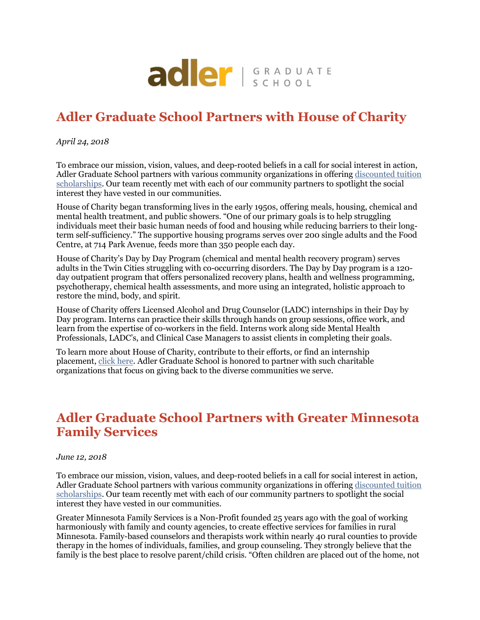

# **Adler Graduate School Partners with House of Charity**

*April 24, 2018*

To embrace our mission, vision, values, and deep-rooted beliefs in a call for social interest in action, Adler Graduate School partners with various community organizations in offering discounted tuition scholarships. Our team recently met with each of our community partners to spotlight the social interest they have vested in our communities.

House of Charity began transforming lives in the early 1950s, offering meals, housing, chemical and mental health treatment, and public showers. "One of our primary goals is to help struggling individuals meet their basic human needs of food and housing while reducing barriers to their longterm self-sufficiency." The supportive housing programs serves over 200 single adults and the Food Centre, at 714 Park Avenue, feeds more than 350 people each day.

House of Charity's Day by Day Program (chemical and mental health recovery program) serves adults in the Twin Cities struggling with co-occurring disorders. The Day by Day program is a 120 day outpatient program that offers personalized recovery plans, health and wellness programming, psychotherapy, chemical health assessments, and more using an integrated, holistic approach to restore the mind, body, and spirit.

House of Charity offers Licensed Alcohol and Drug Counselor (LADC) internships in their Day by Day program. Interns can practice their skills through hands on group sessions, office work, and learn from the expertise of co-workers in the field. Interns work along side Mental Health Professionals, LADC's, and Clinical Case Managers to assist clients in completing their goals.

To learn more about House of Charity, contribute to their efforts, or find an internship placement, click here. Adler Graduate School is honored to partner with such charitable organizations that focus on giving back to the diverse communities we serve.

### **Adler Graduate School Partners with Greater Minnesota Family Services**

#### *June 12, 2018*

To embrace our mission, vision, values, and deep-rooted beliefs in a call for social interest in action, Adler Graduate School partners with various community organizations in offering discounted tuition scholarships. Our team recently met with each of our community partners to spotlight the social interest they have vested in our communities.

Greater Minnesota Family Services is a Non-Profit founded 25 years ago with the goal of working harmoniously with family and county agencies, to create effective services for families in rural Minnesota. Family-based counselors and therapists work within nearly 40 rural counties to provide therapy in the homes of individuals, families, and group counseling. They strongly believe that the family is the best place to resolve parent/child crisis. "Often children are placed out of the home, not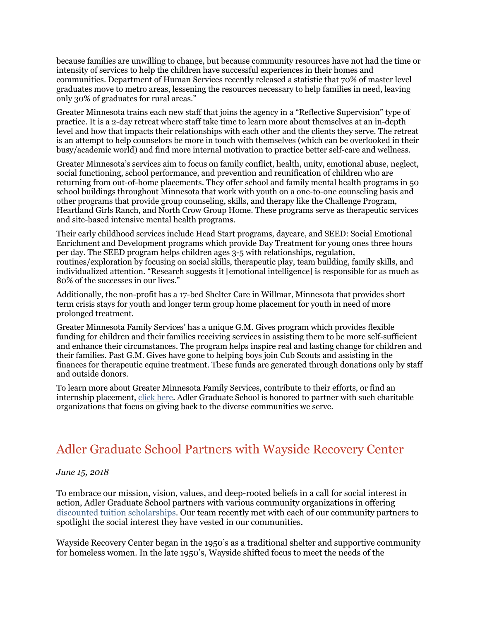because families are unwilling to change, but because community resources have not had the time or intensity of services to help the children have successful experiences in their homes and communities. Department of Human Services recently released a statistic that 70% of master level graduates move to metro areas, lessening the resources necessary to help families in need, leaving only 30% of graduates for rural areas."

Greater Minnesota trains each new staff that joins the agency in a "Reflective Supervision" type of practice. It is a 2-day retreat where staff take time to learn more about themselves at an in-depth level and how that impacts their relationships with each other and the clients they serve. The retreat is an attempt to help counselors be more in touch with themselves (which can be overlooked in their busy/academic world) and find more internal motivation to practice better self-care and wellness.

Greater Minnesota's services aim to focus on family conflict, health, unity, emotional abuse, neglect, social functioning, school performance, and prevention and reunification of children who are returning from out-of-home placements. They offer school and family mental health programs in 50 school buildings throughout Minnesota that work with youth on a one-to-one counseling basis and other programs that provide group counseling, skills, and therapy like the Challenge Program, Heartland Girls Ranch, and North Crow Group Home. These programs serve as therapeutic services and site-based intensive mental health programs.

Their early childhood services include Head Start programs, daycare, and SEED: Social Emotional Enrichment and Development programs which provide Day Treatment for young ones three hours per day. The SEED program helps children ages 3-5 with relationships, regulation, routines/exploration by focusing on social skills, therapeutic play, team building, family skills, and individualized attention. "Research suggests it [emotional intelligence] is responsible for as much as 80% of the successes in our lives."

Additionally, the non-profit has a 17-bed Shelter Care in Willmar, Minnesota that provides short term crisis stays for youth and longer term group home placement for youth in need of more prolonged treatment.

Greater Minnesota Family Services' has a unique G.M. Gives program which provides flexible funding for children and their families receiving services in assisting them to be more self-sufficient and enhance their circumstances. The program helps inspire real and lasting change for children and their families. Past G.M. Gives have gone to helping boys join Cub Scouts and assisting in the finances for therapeutic equine treatment. These funds are generated through donations only by staff and outside donors.

To learn more about Greater Minnesota Family Services, contribute to their efforts, or find an internship placement, click here. Adler Graduate School is honored to partner with such charitable organizations that focus on giving back to the diverse communities we serve.

### Adler Graduate School Partners with Wayside Recovery Center

#### *June 15, 2018*

To embrace our mission, vision, values, and deep-rooted beliefs in a call for social interest in action, Adler Graduate School partners with various community organizations in offering discounted tuition scholarships. Our team recently met with each of our community partners to spotlight the social interest they have vested in our communities.

Wayside Recovery Center began in the 1950's as a traditional shelter and supportive community for homeless women. In the late 1950's, Wayside shifted focus to meet the needs of the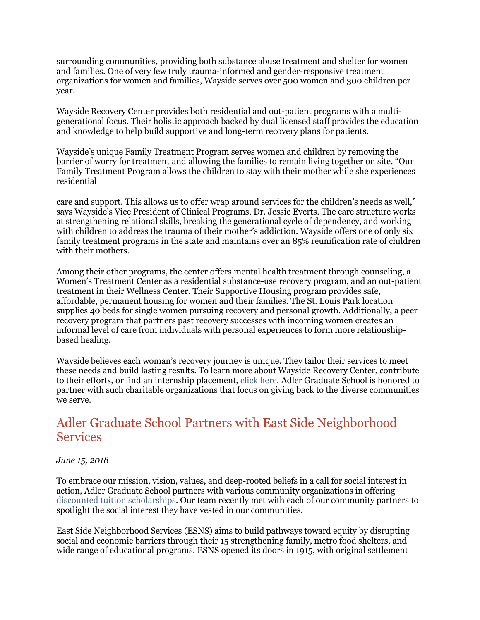surrounding communities, providing both substance abuse treatment and shelter for women and families. One of very few truly trauma-informed and gender-responsive treatment organizations for women and families, Wayside serves over 500 women and 300 children per year.

Wayside Recovery Center provides both residential and out-patient programs with a multigenerational focus. Their holistic approach backed by dual licensed staff provides the education and knowledge to help build supportive and long-term recovery plans for patients.

Wayside's unique Family Treatment Program serves women and children by removing the barrier of worry for treatment and allowing the families to remain living together on site. "Our Family Treatment Program allows the children to stay with their mother while she experiences residential

care and support. This allows us to offer wrap around services for the children's needs as well," says Wayside's Vice President of Clinical Programs, Dr. Jessie Everts. The care structure works at strengthening relational skills, breaking the generational cycle of dependency, and working with children to address the trauma of their mother's addiction. Wayside offers one of only six family treatment programs in the state and maintains over an 85% reunification rate of children with their mothers.

Among their other programs, the center offers mental health treatment through counseling, a Women's Treatment Center as a residential substance-use recovery program, and an out-patient treatment in their Wellness Center. Their Supportive Housing program provides safe, affordable, permanent housing for women and their families. The St. Louis Park location supplies 40 beds for single women pursuing recovery and personal growth. Additionally, a peer recovery program that partners past recovery successes with incoming women creates an informal level of care from individuals with personal experiences to form more relationshipbased healing.

Wayside believes each woman's recovery journey is unique. They tailor their services to meet these needs and build lasting results. To learn more about Wayside Recovery Center, contribute to their efforts, or find an internship placement, click here. Adler Graduate School is honored to partner with such charitable organizations that focus on giving back to the diverse communities we serve.

## Adler Graduate School Partners with East Side Neighborhood **Services**

#### *June 15, 2018*

To embrace our mission, vision, values, and deep-rooted beliefs in a call for social interest in action, Adler Graduate School partners with various community organizations in offering discounted tuition scholarships. Our team recently met with each of our community partners to spotlight the social interest they have vested in our communities.

East Side Neighborhood Services (ESNS) aims to build pathways toward equity by disrupting social and economic barriers through their 15 strengthening family, metro food shelters, and wide range of educational programs. ESNS opened its doors in 1915, with original settlement